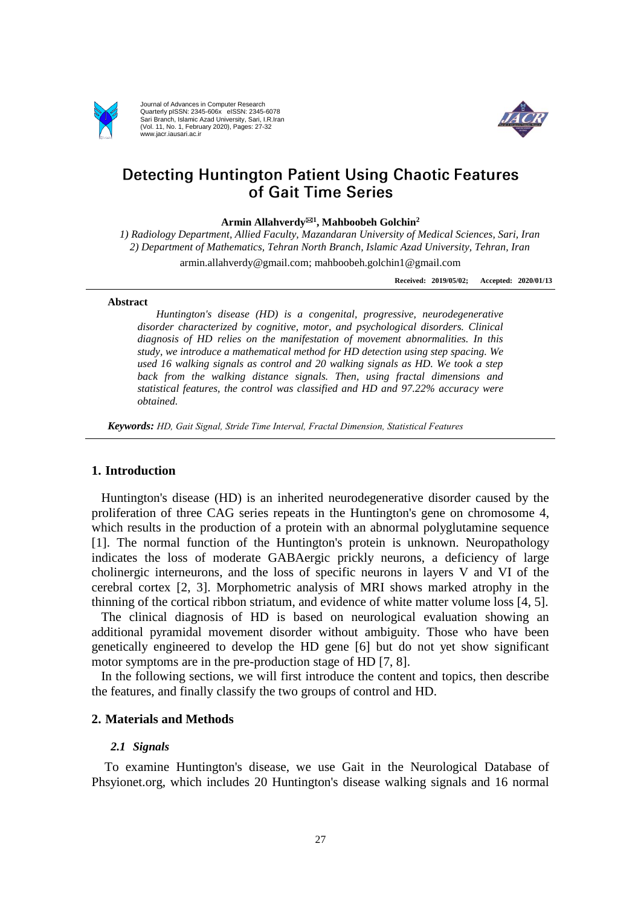

Journal of Advances in Computer Research Quarterly pISSN: 2345-606x eISSN: 2345-6078 Sari Branch, Islamic Azad University, Sari, I.R.Iran (Vol. 11, No. 1, February 2020), Pages: 27-32 www.jacr.iausari.ac.ir



# **Detecting Huntington Patient Using Chaotic Features** of Gait Time Series

**Armin Allahverdy<sup>1</sup> , Mahboobeh Golchin<sup>2</sup>**

*1) Radiology Department, Allied Faculty, Mazandaran University of Medical Sciences, Sari, Iran 2) Department of Mathematics, Tehran North Branch, Islamic Azad University, Tehran, Iran*

armin.allahverdy@gmail.com; mahboobeh.golchin1@gmail.com

**Received: 2019/05/02; Accepted: 2020/01/13**

#### **Abstract**

*Huntington's disease (HD) is a congenital, progressive, neurodegenerative disorder characterized by cognitive, motor, and psychological disorders. Clinical diagnosis of HD relies on the manifestation of movement abnormalities. In this study, we introduce a mathematical method for HD detection using step spacing. We used 16 walking signals as control and 20 walking signals as HD. We took a step back from the walking distance signals. Then, using fractal dimensions and statistical features, the control was classified and HD and 97.22% accuracy were obtained.*

*Keywords: HD, Gait Signal, Stride Time Interval, Fractal Dimension, Statistical Features*

### **1. Introduction**

Huntington's disease (HD) is an inherited neurodegenerative disorder caused by the proliferation of three CAG series repeats in the Huntington's gene on chromosome 4, which results in the production of a protein with an abnormal polyglutamine sequence [1]. The normal function of the Huntington's protein is unknown. Neuropathology indicates the loss of moderate GABAergic prickly neurons, a deficiency of large cholinergic interneurons, and the loss of specific neurons in layers V and VI of the cerebral cortex [2, 3]. Morphometric analysis of MRI shows marked atrophy in the thinning of the cortical ribbon striatum, and evidence of white matter volume loss [4, 5].

The clinical diagnosis of HD is based on neurological evaluation showing an additional pyramidal movement disorder without ambiguity. Those who have been genetically engineered to develop the HD gene [6] but do not yet show significant motor symptoms are in the pre-production stage of HD [7, 8].

In the following sections, we will first introduce the content and topics, then describe the features, and finally classify the two groups of control and HD.

## **2. Materials and Methods**

## *2.1 Signals*

To examine Huntington's disease, we use Gait in the Neurological Database of Phsyionet.org, which includes 20 Huntington's disease walking signals and 16 normal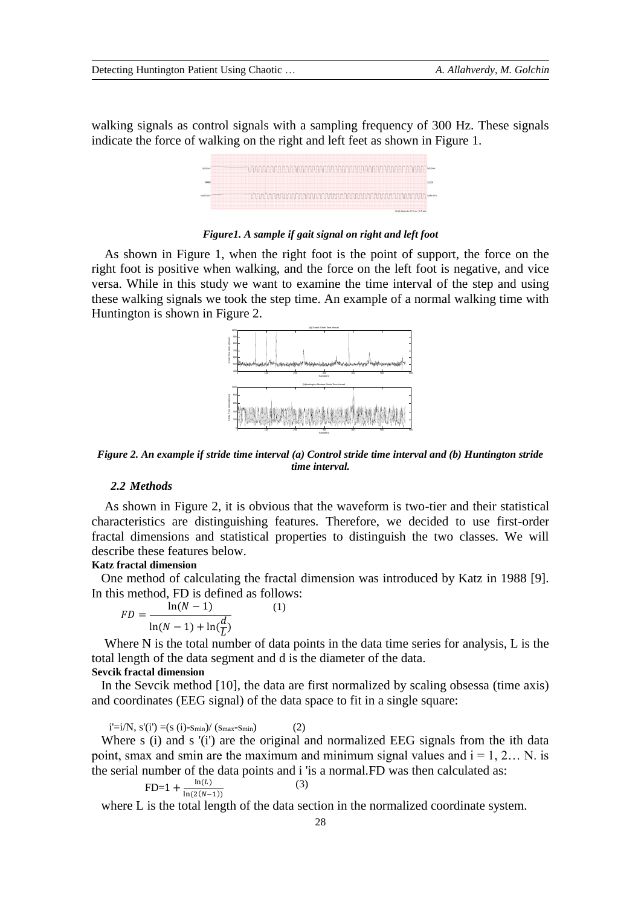walking signals as control signals with a sampling frequency of 300 Hz. These signals indicate the force of walking on the right and left feet as shown in Figure 1.



*Figure1. A sample if gait signal on right and left foot*

As shown in Figure 1, when the right foot is the point of support, the force on the right foot is positive when walking, and the force on the left foot is negative, and vice versa. While in this study we want to examine the time interval of the step and using these walking signals we took the step time. An example of a normal walking time with Huntington is shown in Figure 2.



*Figure 2. An example if stride time interval (a) Control stride time interval and (b) Huntington stride time interval.*

#### *2.2 Methods*

As shown in Figure 2, it is obvious that the waveform is two-tier and their statistical characteristics are distinguishing features. Therefore, we decided to use first-order fractal dimensions and statistical properties to distinguish the two classes. We will describe these features below.

#### **Katz fractal dimension**

One method of calculating the fractal dimension was introduced by Katz in 1988 [9]. In this method, FD is defined as follows:

$$
FD = \frac{\ln(N-1)}{\ln(N-1) + \ln(\frac{d}{L})}
$$
 (1)

Where N is the total number of data points in the data time series for analysis, L is the total length of the data segment and d is the diameter of the data. **Sevcik fractal dimension**

In the Sevcik method [10], the data are first normalized by scaling obsessa (time axis) and coordinates (EEG signal) of the data space to fit in a single square:

 $i' = i/N$ ,  $s'(i') = (s (i) - s_{min})/(s_{max} - s_{min})$  (2)

Where s (i) and s '(i') are the original and normalized EEG signals from the ith data point, smax and smin are the maximum and minimum signal values and  $i = 1, 2...$  N. is the serial number of the data points and i 'is a normal.FD was then calculated as:

$$
FD=1+\frac{\ln(L)}{\ln(2(N-1))}
$$

where L is the total length of the data section in the normalized coordinate system.

(3)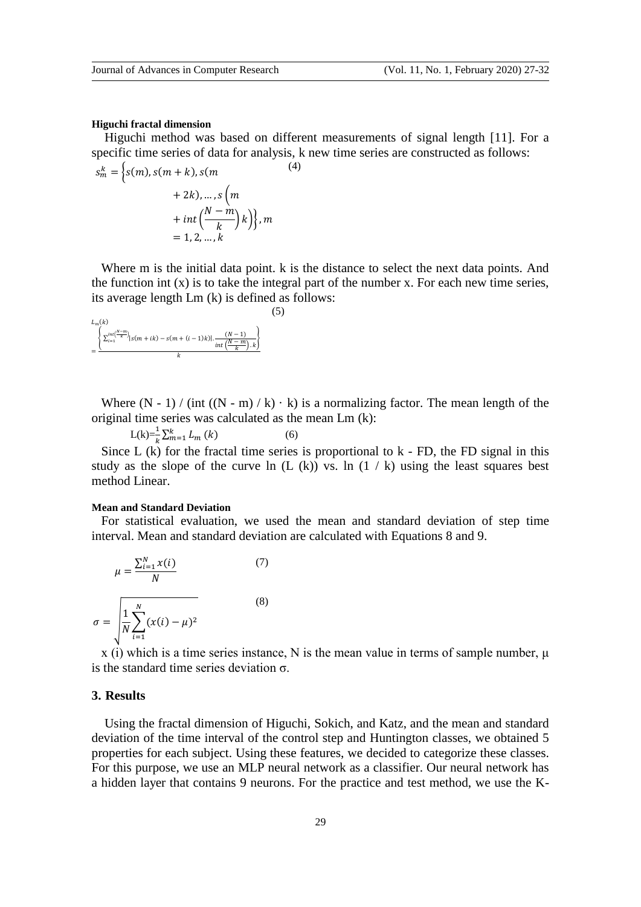#### **Higuchi fractal dimension**

Higuchi method was based on different measurements of signal length [11]. For a specific time series of data for analysis, k new time series are constructed as follows: (4)

$$
s_m^k = \left\{ s(m), s(m+k), s(m + 2k), \dots, s\left(m + \frac{2k}{k}\right)k \right\}, m
$$
  
+ int  $\left(\frac{N-m}{k}\right)k$ }, m  
= 1, 2, ..., k

Where m is the initial data point. k is the distance to select the next data points. And the function int  $(x)$  is to take the integral part of the number x. For each new time series, its average length Lm (k) is defined as follows:

(5)

$$
\frac{L_m(k)}{\underbrace{\left\{\sum_{i=1}^{int\binom{N-m}{k}}\big|s(m+ik)-s(m+(i-1)k)\big|.\frac{(N-1)}{int\binom{N-m}{k}.k}\right\}}_{k}
$$

Where  $(N - 1) / (int ((N - m) / k) \cdot k)$  is a normalizing factor. The mean length of the original time series was calculated as the mean Lm (k):

$$
L(k) = \frac{1}{k} \sum_{m=1}^{k} L_m(k)
$$
 (6)

Since L (k) for the fractal time series is proportional to k - FD, the FD signal in this study as the slope of the curve ln  $(L (k))$  vs. ln  $(1 / k)$  using the least squares best method Linear.

### **Mean and Standard Deviation**

For statistical evaluation, we used the mean and standard deviation of step time interval. Mean and standard deviation are calculated with Equations 8 and 9.

$$
\mu = \frac{\sum_{i=1}^{N} x(i)}{N}
$$
(7)  

$$
\sigma = \sqrt{\frac{1}{N} \sum_{i=1}^{N} (x(i) - \mu)^2}
$$
(8)

x (i) which is a time series instance, N is the mean value in terms of sample number,  $\mu$ is the standard time series deviation  $\sigma$ .

### **3. Results**

Using the fractal dimension of Higuchi, Sokich, and Katz, and the mean and standard deviation of the time interval of the control step and Huntington classes, we obtained 5 properties for each subject. Using these features, we decided to categorize these classes. For this purpose, we use an MLP neural network as a classifier. Our neural network has a hidden layer that contains 9 neurons. For the practice and test method, we use the K-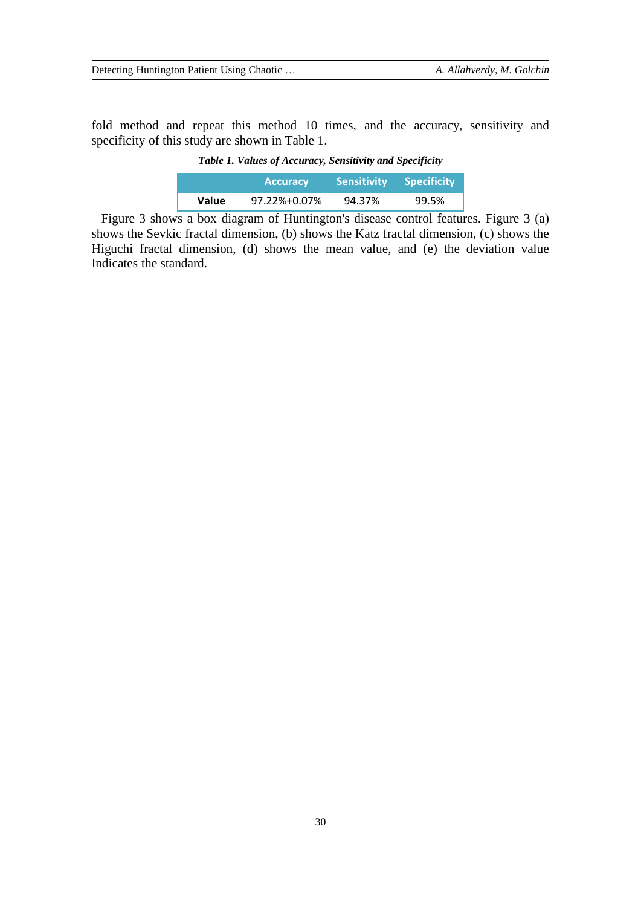fold method and repeat this method 10 times, and the accuracy, sensitivity and specificity of this study are shown in Table 1.

|  |  |  |  | Table 1. Values of Accuracy, Sensitivity and Specificity |
|--|--|--|--|----------------------------------------------------------|
|--|--|--|--|----------------------------------------------------------|

|       | <b>Accuracy</b> | <b>Sensitivity</b> | <b>Specificity</b> |
|-------|-----------------|--------------------|--------------------|
| Value | 97.22%+0.07%    | 94.37%             | 99.5%              |

Figure 3 shows a box diagram of Huntington's disease control features. Figure 3 (a) shows the Sevkic fractal dimension, (b) shows the Katz fractal dimension, (c) shows the Higuchi fractal dimension, (d) shows the mean value, and (e) the deviation value Indicates the standard.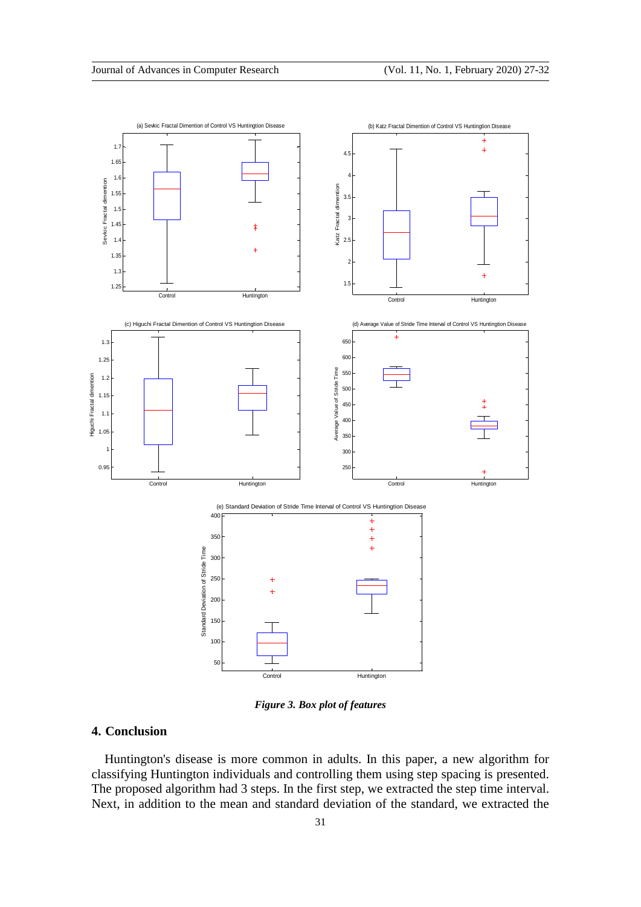

*Figure 3. Box plot of features*

## **4. Conclusion**

Huntington's disease is more common in adults. In this paper, a new algorithm for classifying Huntington individuals and controlling them using step spacing is presented. The proposed algorithm had 3 steps. In the first step, we extracted the step time interval. Next, in addition to the mean and standard deviation of the standard, we extracted the